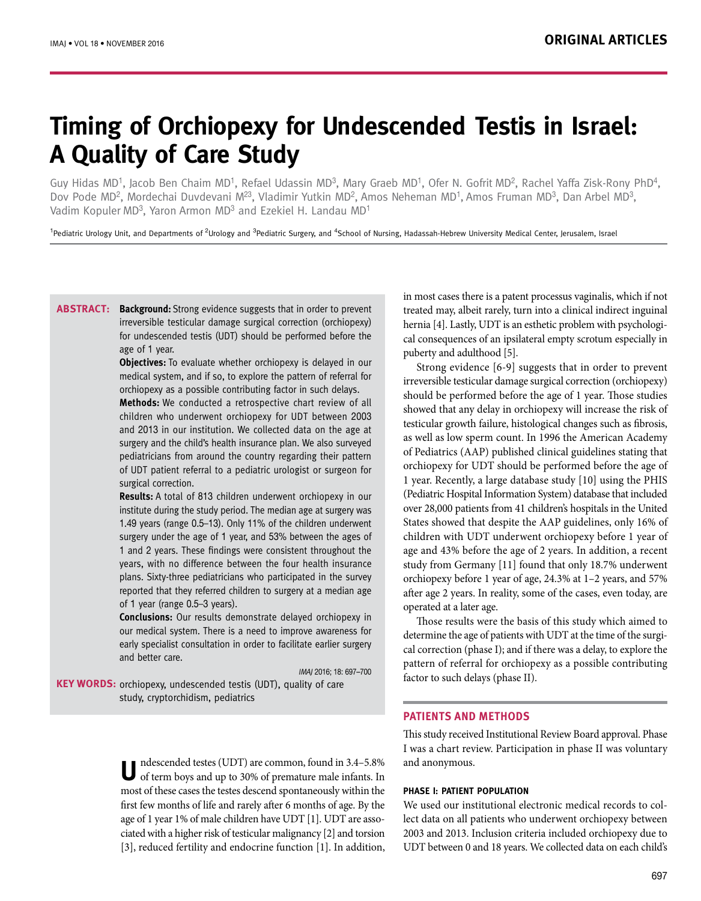# **Timing of Orchiopexy for Undescended Testis in Israel: A Quality of Care Study**

Guy Hidas MD1, Jacob Ben Chaim MD1, Refael Udassin MD3, Mary Graeb MD1, Ofer N. Gofrit MD2, Rachel Yaffa Zisk-Rony PhD4, Dov Pode MD<sup>2</sup>, Mordechai Duvdevani M<sup>23</sup>, Vladimir Yutkin MD<sup>2</sup>, Amos Neheman MD<sup>1</sup>, Amos Fruman MD<sup>3</sup>, Dan Arbel MD<sup>3</sup>, Vadim Kopuler MD3, Yaron Armon MD3 and Ezekiel H. Landau MD<sup>1</sup>

<sup>1</sup>Pediatric Urology Unit, and Departments of <sup>2</sup>Urology and <sup>3</sup>Pediatric Surgery, and <sup>4</sup>School of Nursing, Hadassah-Hebrew University Medical Center, Jerusalem, Israel

**ABSTRACT:** Background: Strong evidence suggests that in order to prevent irreversible testicular damage surgical correction (orchiopexy) for undescended testis (UDT) should be performed before the age of 1 year.

**Objectives:** To evaluate whether orchiopexy is delayed in our medical system, and if so, to explore the pattern of referral for orchiopexy as a possible contributing factor in such delays.

**Methods:** We conducted a retrospective chart review of all children who underwent orchiopexy for UDT between 2003 and 2013 in our institution. We collected data on the age at surgery and the child's health insurance plan. We also surveyed pediatricians from around the country regarding their pattern of UDT patient referral to a pediatric urologist or surgeon for surgical correction.

**Results:** A total of 813 children underwent orchiopexy in our institute during the study period. The median age at surgery was 1.49 years (range 0.5–13). Only 11% of the children underwent surgery under the age of 1 year, and 53% between the ages of 1 and 2 years. These findings were consistent throughout the years, with no difference between the four health insurance plans. Sixty-three pediatricians who participated in the survey reported that they referred children to surgery at a median age of 1 year (range 0.5–3 years).

**Conclusions:** Our results demonstrate delayed orchiopexy in our medical system. There is a need to improve awareness for early specialist consultation in order to facilitate earlier surgery and better care.

IMAJ 2016; 18: 697–700

**KEY WORDS:** orchiopexy, undescended testis (UDT), quality of care study, cryptorchidism, pediatrics

> U ndescended testes (UDT) are common, found in 3.4–5.8% of term boys and up to 30% of premature male infants. In most of these cases the testes descend spontaneously within the first few months of life and rarely after 6 months of age. By the age of 1 year 1% of male children have UDT [1]. UDT are associated with a higher risk of testicular malignancy [2] and torsion [3], reduced fertility and endocrine function [1]. In addition,

in most cases there is a patent processus vaginalis, which if not treated may, albeit rarely, turn into a clinical indirect inguinal hernia [4]. Lastly, UDT is an esthetic problem with psychological consequences of an ipsilateral empty scrotum especially in puberty and adulthood [5].

Strong evidence [6-9] suggests that in order to prevent irreversible testicular damage surgical correction (orchiopexy) should be performed before the age of 1 year. Those studies showed that any delay in orchiopexy will increase the risk of testicular growth failure, histological changes such as fibrosis, as well as low sperm count. In 1996 the American Academy of Pediatrics (AAP) published clinical guidelines stating that orchiopexy for UDT should be performed before the age of 1 year. Recently, a large database study [10] using the PHIS (Pediatric Hospital Information System) database that included over 28,000 patients from 41 children's hospitals in the United States showed that despite the AAP guidelines, only 16% of children with UDT underwent orchiopexy before 1 year of age and 43% before the age of 2 years. In addition, a recent study from Germany [11] found that only 18.7% underwent orchiopexy before 1 year of age, 24.3% at 1–2 years, and 57% after age 2 years. In reality, some of the cases, even today, are operated at a later age.

Those results were the basis of this study which aimed to determine the age of patients with UDT at the time of the surgical correction (phase I); and if there was a delay, to explore the pattern of referral for orchiopexy as a possible contributing factor to such delays (phase II).

# **PATIENTS AND METHODS**

This study received Institutional Review Board approval. Phase I was a chart review. Participation in phase II was voluntary and anonymous.

#### **Phase I: Patient population**

We used our institutional electronic medical records to collect data on all patients who underwent orchiopexy between 2003 and 2013. Inclusion criteria included orchiopexy due to UDT between 0 and 18 years. We collected data on each child's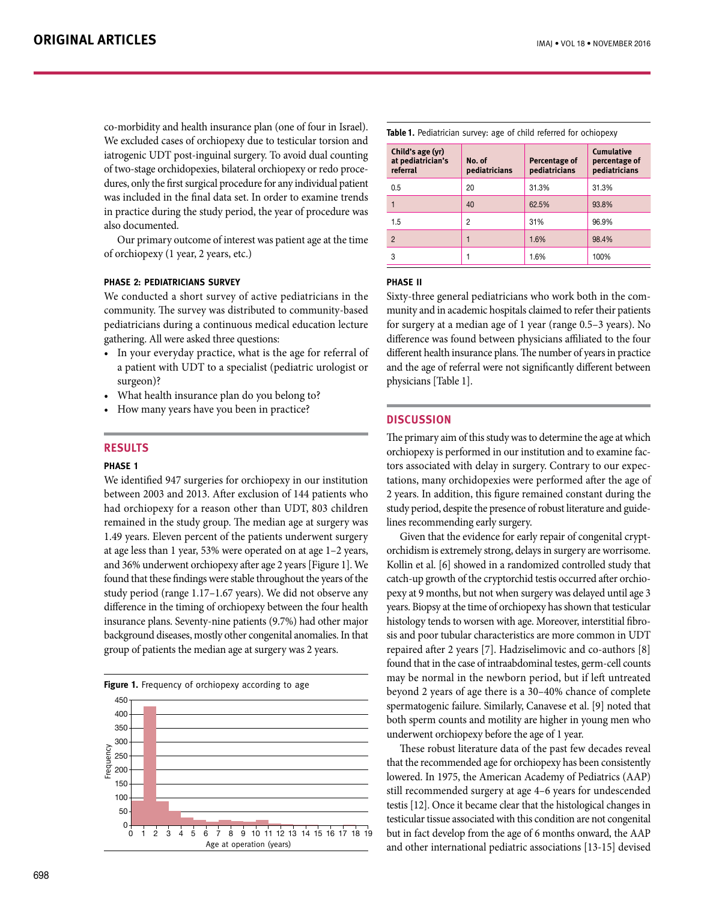co-morbidity and health insurance plan (one of four in Israel). We excluded cases of orchiopexy due to testicular torsion and iatrogenic UDT post-inguinal surgery. To avoid dual counting of two-stage orchidopexies, bilateral orchiopexy or redo procedures, only the first surgical procedure for any individual patient was included in the final data set. In order to examine trends in practice during the study period, the year of procedure was also documented.

Our primary outcome of interest was patient age at the time of orchiopexy (1 year, 2 years, etc.)

## **Phase 2: Pediatricians survey**

We conducted a short survey of active pediatricians in the community. The survey was distributed to community-based pediatricians during a continuous medical education lecture gathering. All were asked three questions:

- In your everyday practice, what is the age for referral of a patient with UDT to a specialist (pediatric urologist or surgeon)?
- What health insurance plan do you belong to?
- How many years have you been in practice?

# **RESULTS**

### **Phase 1**

We identified 947 surgeries for orchiopexy in our institution between 2003 and 2013. After exclusion of 144 patients who had orchiopexy for a reason other than UDT, 803 children remained in the study group. The median age at surgery was 1.49 years. Eleven percent of the patients underwent surgery at age less than 1 year, 53% were operated on at age 1–2 years, and 36% underwent orchiopexy after age 2 years [Figure 1]. We found that these findings were stable throughout the years of the study period (range 1.17–1.67 years). We did not observe any difference in the timing of orchiopexy between the four health insurance plans. Seventy-nine patients (9.7%) had other major background diseases, mostly other congenital anomalies. In that group of patients the median age at surgery was 2 years.



| Child's age (yr)<br>at pediatrician's<br>referral | No. of<br>pediatricians | Percentage of<br>pediatricians | <b>Cumulative</b><br>percentage of<br>pediatricians |
|---------------------------------------------------|-------------------------|--------------------------------|-----------------------------------------------------|
| 0.5                                               | 20                      | 31.3%                          | 31.3%                                               |
|                                                   | 40                      | 62.5%                          | 93.8%                                               |
| 1.5                                               | 2                       | 31%                            | 96.9%                                               |
| $\overline{2}$                                    |                         | 1.6%                           | 98.4%                                               |
| 3                                                 |                         | 1.6%                           | 100%                                                |

**Table 1.** Pediatrician survey: age of child referred for ochiopexy

### **Phase II**

Sixty-three general pediatricians who work both in the community and in academic hospitals claimed to refer their patients for surgery at a median age of 1 year (range 0.5–3 years). No difference was found between physicians affiliated to the four different health insurance plans. The number of years in practice and the age of referral were not significantly different between physicians [Table 1].

#### **DISCUSSION**

The primary aim of this study was to determine the age at which orchiopexy is performed in our institution and to examine factors associated with delay in surgery. Contrary to our expectations, many orchidopexies were performed after the age of 2 years. In addition, this figure remained constant during the study period, despite the presence of robust literature and guidelines recommending early surgery.

Given that the evidence for early repair of congenital cryptorchidism is extremely strong, delays in surgery are worrisome. Kollin et al. [6] showed in a randomized controlled study that catch-up growth of the cryptorchid testis occurred after orchiopexy at 9 months, but not when surgery was delayed until age 3 years. Biopsy at the time of orchiopexy has shown that testicular histology tends to worsen with age. Moreover, interstitial fibrosis and poor tubular characteristics are more common in UDT repaired after 2 years [7]. Hadziselimovic and co-authors [8] found that in the case of intraabdominal testes, germ-cell counts may be normal in the newborn period, but if left untreated beyond 2 years of age there is a 30–40% chance of complete spermatogenic failure. Similarly, Canavese et al. [9] noted that both sperm counts and motility are higher in young men who underwent orchiopexy before the age of 1 year.

These robust literature data of the past few decades reveal that the recommended age for orchiopexy has been consistently lowered. In 1975, the American Academy of Pediatrics (AAP) still recommended surgery at age 4–6 years for undescended testis [12]. Once it became clear that the histological changes in testicular tissue associated with this condition are not congenital but in fact develop from the age of 6 months onward, the AAP and other international pediatric associations [13-15] devised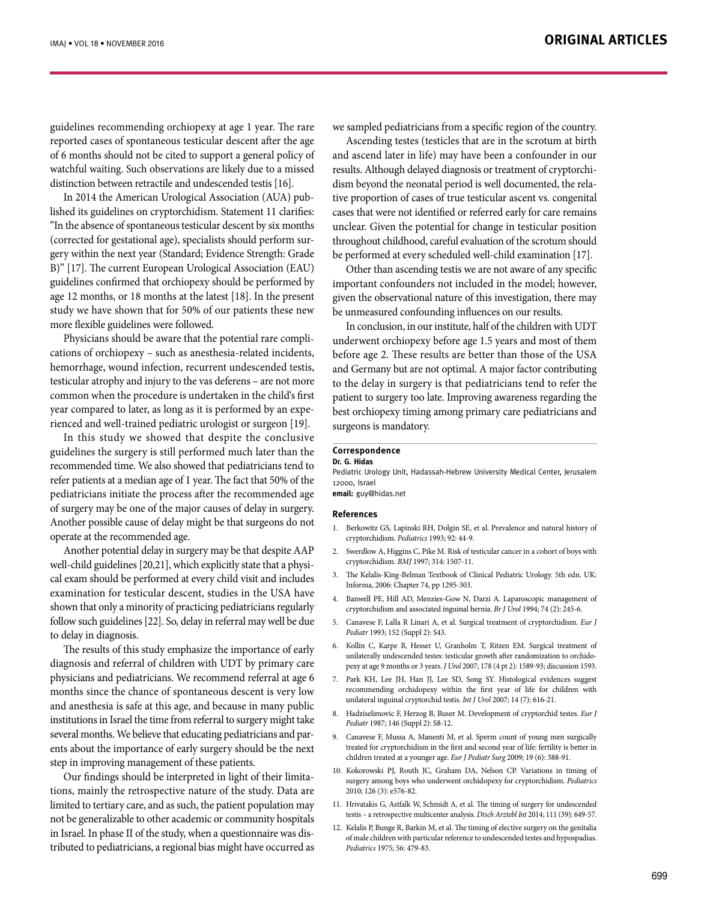guidelines recommending orchiopexy at age 1 year. The rare reported cases of spontaneous testicular descent after the age of 6 months should not be cited to support a general policy of watchful waiting. Such observations are likely due to a missed distinction between retractile and undescended testis [16].

In 2014 the American Urological Association (AUA) published its guidelines on cryptorchidism. Statement 11 clarifies: "In the absence of spontaneous testicular descent by six months (corrected for gestational age), specialists should perform surgery within the next year (Standard; Evidence Strength: Grade B)" [17]. The current European Urological Association (EAU) guidelines confirmed that orchiopexy should be performed by age 12 months, or 18 months at the latest [18]. In the present study we have shown that for 50% of our patients these new more flexible guidelines were followed.

Physicians should be aware that the potential rare complications of orchiopexy – such as anesthesia-related incidents, hemorrhage, wound infection, recurrent undescended testis, testicular atrophy and injury to the vas deferens – are not more common when the procedure is undertaken in the child's first year compared to later, as long as it is performed by an experienced and well-trained pediatric urologist or surgeon [19].

In this study we showed that despite the conclusive guidelines the surgery is still performed much later than the recommended time. We also showed that pediatricians tend to refer patients at a median age of 1 year. The fact that 50% of the pediatricians initiate the process after the recommended age of surgery may be one of the major causes of delay in surgery. Another possible cause of delay might be that surgeons do not operate at the recommended age.

Another potential delay in surgery may be that despite AAP well-child guidelines [20,21], which explicitly state that a physical exam should be performed at every child visit and includes examination for testicular descent, studies in the USA have shown that only a minority of practicing pediatricians regularly follow such guidelines [22]. So, delay in referral may well be due to delay in diagnosis.

The results of this study emphasize the importance of early diagnosis and referral of children with UDT by primary care physicians and pediatricians. We recommend referral at age 6 months since the chance of spontaneous descent is very low and anesthesia is safe at this age, and because in many public institutions in Israel the time from referral to surgery might take several months. We believe that educating pediatricians and parents about the importance of early surgery should be the next step in improving management of these patients.

Our findings should be interpreted in light of their limitations, mainly the retrospective nature of the study. Data are limited to tertiary care, and as such, the patient population may not be generalizable to other academic or community hospitals in Israel. In phase II of the study, when a questionnaire was distributed to pediatricians, a regional bias might have occurred as we sampled pediatricians from a specific region of the country.

Ascending testes (testicles that are in the scrotum at birth and ascend later in life) may have been a confounder in our results. Although delayed diagnosis or treatment of cryptorchidism beyond the neonatal period is well documented, the relative proportion of cases of true testicular ascent vs. congenital cases that were not identified or referred early for care remains unclear. Given the potential for change in testicular position throughout childhood, careful evaluation of the scrotum should be performed at every scheduled well-child examination [17].

Other than ascending testis we are not aware of any specific important confounders not included in the model; however, given the observational nature of this investigation, there may be unmeasured confounding influences on our results.

In conclusion, in our institute, half of the children with UDT underwent orchiopexy before age 1.5 years and most of them before age 2. These results are better than those of the USA and Germany but are not optimal. A major factor contributing to the delay in surgery is that pediatricians tend to refer the patient to surgery too late. Improving awareness regarding the best orchiopexy timing among primary care pediatricians and surgeons is mandatory.

#### **Correspondence Dr. G. Hidas**

Pediatric Urology Unit, Hadassah-Hebrew University Medical Center, Jerusalem 12000, Israel

**email:** guy@hidas.net

#### **References**

- 1. Berkowitz GS, Lapinski RH, Dolgin SE, et al. Prevalence and natural history of cryptorchidism. *Pediatrics* 1993; 92: 44-9.
- 2. Swerdlow A, Higgins C, Pike M. Risk of testicular cancer in a cohort of boys with cryptorchidism. *BMJ* 1997; 314: 1507-11.
- 3. The Kelalis-King-Belman Textbook of Clinical Pediatric Urology. 5th edn. UK: Informa, 2006: Chapter 74, pp 1295-303.
- 4. Banwell PE, Hill AD, Menzies-Gow N, Darzi A. Laparoscopic management of cryptorchidism and associated inguinal hernia. *Br J Urol* 1994; 74 (2): 245-6.
- 5. Canavese F, Lalla R Linari A, et al. Surgical treatment of cryptorchidism. *Eur J Pediatr* 1993; 152 (Suppl 2): S43.
- 6. Kollin C, Karpe B, Hesser U, Granholm T, Ritzen EM. Surgical treatment of unilaterally undescended testes: testicular growth after randomization to orchidopexy at age 9 months or 3 years. *J Urol* 2007; 178 (4 pt 2): 1589-93; discussion 1593.
- 7. Park KH, Lee JH, Han JJ, Lee SD, Song SY. Histological evidences suggest recommending orchidopexy within the first year of life for children with unilateral inguinal cryptorchid testis. *Int J Urol* 2007; 14 (7): 616-21.
- 8. Hadziselimovic F, Herzog B, Buser M. Development of cryptorchid testes. *Eur J Pediatr* 1987; 146 (Suppl 2): S8-12.
- 9. Canavese F, Mussa A, Manenti M, et al. Sperm count of young men surgically treated for cryptorchidism in the first and second year of life: fertility is better in children treated at a younger age. *Eur J Pediatr Surg* 2009; 19 (6): 388-91.
- 10. Kokorowski PJ, Routh JC, Graham DA, Nelson CP. Variations in timing of surgery among boys who underwent orchidopexy for cryptorchidism. *Pediatrics* 2010; 126 (3): e576-82.
- 11. Hrivatakis G, Astfalk W, Schmidt A, et al. The timing of surgery for undescended testis – a retrospective multicenter analysis. *Dtsch Arztebl Int* 2014; 111 (39): 649-57.
- 12. Kelalis P, Bunge R, Barkin M, et al. The timing of elective surgery on the genitalia of male children with particular reference to undescended testes and hypospadias. *Pediatrics* 1975; 56: 479-83.